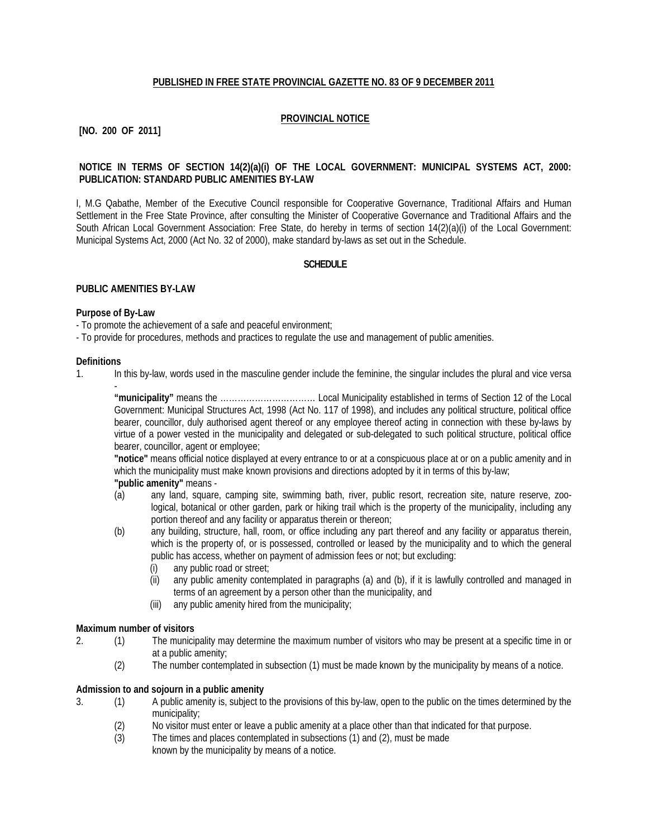## **PUBLISHED IN FREE STATE PROVINCIAL GAZETTE NO. 83 OF 9 DECEMBER 2011**

# **PROVINCIAL NOTICE**

# **[NO. 200 OF 2011]**

## **NOTICE IN TERMS OF SECTION 14(2)(a)(i) OF THE LOCAL GOVERNMENT: MUNICIPAL SYSTEMS ACT, 2000: PUBLICATION: STANDARD PUBLIC AMENITIES BY-LAW**

I, M.G Qabathe, Member of the Executive Council responsible for Cooperative Governance, Traditional Affairs and Human Settlement in the Free State Province, after consulting the Minister of Cooperative Governance and Traditional Affairs and the South African Local Government Association: Free State, do hereby in terms of section 14(2)(a)(i) of the Local Government: Municipal Systems Act, 2000 (Act No. 32 of 2000), make standard by-laws as set out in the Schedule.

#### **SCHEDULE**

#### **PUBLIC AMENITIES BY-LAW**

#### **Purpose of By-Law**

-

- To promote the achievement of a safe and peaceful environment;

- To provide for procedures, methods and practices to regulate the use and management of public amenities.

#### **Definitions**

1. In this by-law, words used in the masculine gender include the feminine, the singular includes the plural and vice versa

**"municipality"** means the …………………………… Local Municipality established in terms of Section 12 of the Local Government: Municipal Structures Act, 1998 (Act No. 117 of 1998), and includes any political structure, political office bearer, councillor, duly authorised agent thereof or any employee thereof acting in connection with these by-laws by virtue of a power vested in the municipality and delegated or sub-delegated to such political structure, political office bearer, councillor, agent or employee;

**"notice"** means official notice displayed at every entrance to or at a conspicuous place at or on a public amenity and in which the municipality must make known provisions and directions adopted by it in terms of this by-law; **"public amenity"** means -

- (a) any land, square, camping site, swimming bath, river, public resort, recreation site, nature reserve, zoological, botanical or other garden, park or hiking trail which is the property of the municipality, including any portion thereof and any facility or apparatus therein or thereon;
	- (b) any building, structure, hall, room, or office including any part thereof and any facility or apparatus therein, which is the property of, or is possessed, controlled or leased by the municipality and to which the general public has access, whether on payment of admission fees or not; but excluding:
		- (i) any public road or street;
		- (ii) any public amenity contemplated in paragraphs (a) and (b), if it is lawfully controlled and managed in terms of an agreement by a person other than the municipality, and
		- (iii) any public amenity hired from the municipality;

#### **Maximum number of visitors**

- 2. (1) The municipality may determine the maximum number of visitors who may be present at a specific time in or at a public amenity;
	- (2) The number contemplated in subsection (1) must be made known by the municipality by means of a notice.

## **Admission to and sojourn in a public amenity**

- 3. (1) A public amenity is, subject to the provisions of this by-law, open to the public on the times determined by the municipality;
	- (2) No visitor must enter or leave a public amenity at a place other than that indicated for that purpose.
	- (3) The times and places contemplated in subsections (1) and (2), must be made known by the municipality by means of a notice.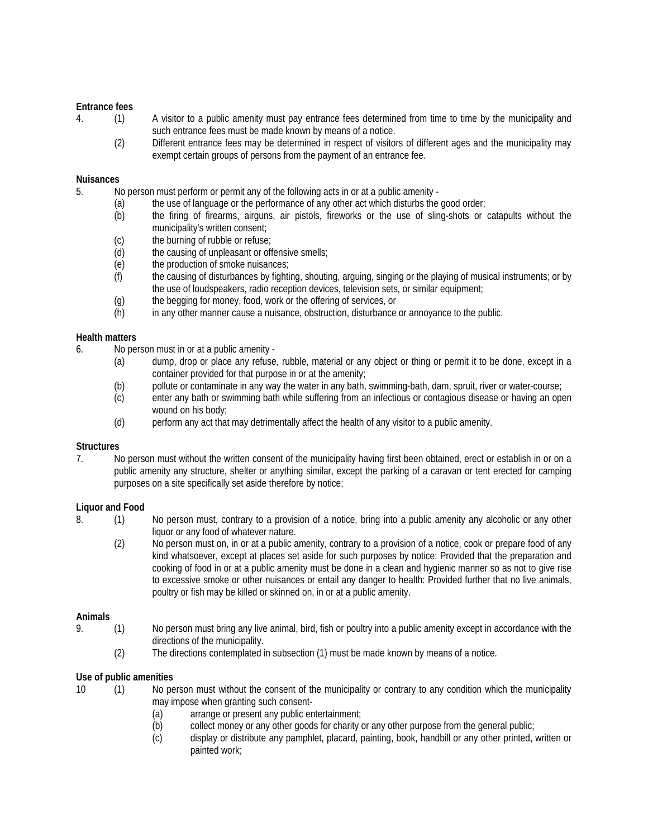#### **Entrance fees**

- 4. (1) A visitor to a public amenity must pay entrance fees determined from time to time by the municipality and such entrance fees must be made known by means of a notice.
	- (2) Different entrance fees may be determined in respect of visitors of different ages and the municipality may exempt certain groups of persons from the payment of an entrance fee.

#### **Nuisances**

- 5. No person must perform or permit any of the following acts in or at a public amenity
	- (a) the use of language or the performance of any other act which disturbs the good order;
		- (b) the firing of firearms, airguns, air pistols, fireworks or the use of sling-shots or catapults without the municipality's written consent;
		- (c) the burning of rubble or refuse;<br>(d) the causing of unpleasant or of
		- the causing of unpleasant or offensive smells;
		- (e) the production of smoke nuisances;
		- (f) the causing of disturbances by fighting, shouting, arguing, singing or the playing of musical instruments; or by the use of loudspeakers, radio reception devices, television sets, or similar equipment;
		- (g) the begging for money, food, work or the offering of services, or
		- (h) in any other manner cause a nuisance, obstruction, disturbance or annoyance to the public.

## **Health matters**

- 6. No person must in or at a public amenity
	- (a) dump, drop or place any refuse, rubble, material or any object or thing or permit it to be done, except in a container provided for that purpose in or at the amenity;
	- (b) pollute or contaminate in any way the water in any bath, swimming-bath, dam, spruit, river or water-course;
	- (c) enter any bath or swimming bath while suffering from an infectious or contagious disease or having an open wound on his body;
	- (d) perform any act that may detrimentally affect the health of any visitor to a public amenity.

## **Structures**

7. No person must without the written consent of the municipality having first been obtained, erect or establish in or on a public amenity any structure, shelter or anything similar, except the parking of a caravan or tent erected for camping purposes on a site specifically set aside therefore by notice;

## **Liquor and Food**

- 8. (1) No person must, contrary to a provision of a notice, bring into a public amenity any alcoholic or any other liquor or any food of whatever nature.
	- (2) No person must on, in or at a public amenity, contrary to a provision of a notice, cook or prepare food of any kind whatsoever, except at places set aside for such purposes by notice: Provided that the preparation and cooking of food in or at a public amenity must be done in a clean and hygienic manner so as not to give rise to excessive smoke or other nuisances or entail any danger to health: Provided further that no live animals, poultry or fish may be killed or skinned on, in or at a public amenity.

## **Animals**

- 9. (1) No person must bring any live animal, bird, fish or poultry into a public amenity except in accordance with the directions of the municipality.
	- (2) The directions contemplated in subsection (1) must be made known by means of a notice.

## **Use of public amenities**

- 10 (1) No person must without the consent of the municipality or contrary to any condition which the municipality may impose when granting such consent-
	- (a) arrange or present any public entertainment;
	- (b) collect money or any other goods for charity or any other purpose from the general public;
	- (c) display or distribute any pamphlet, placard, painting, book, handbill or any other printed, written or painted work;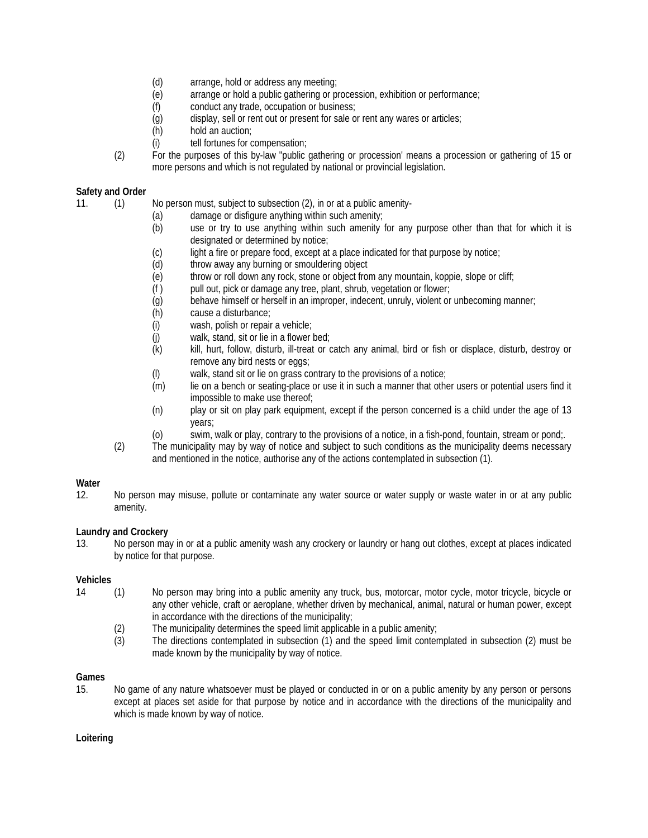- (d) arrange, hold or address any meeting;
- (e) arrange or hold a public gathering or procession, exhibition or performance;
- (f) conduct any trade, occupation or business;
- (g) display, sell or rent out or present for sale or rent any wares or articles;
- (h) hold an auction:
- (i) tell fortunes for compensation;
- (2) For the purposes of this by-law "public gathering or procession' means a procession or gathering of 15 or more persons and which is not regulated by national or provincial legislation.

## **Safety and Order**

11. (1) No person must, subject to subsection (2), in or at a public amenity-

- (a) damage or disfigure anything within such amenity;
- (b) use or try to use anything within such amenity for any purpose other than that for which it is designated or determined by notice;
- (c) light a fire or prepare food, except at a place indicated for that purpose by notice;
- (d) throw away any burning or smouldering object
- (e) throw or roll down any rock, stone or object from any mountain, koppie, slope or cliff;
- (f ) pull out, pick or damage any tree, plant, shrub, vegetation or flower;
- (g) behave himself or herself in an improper, indecent, unruly, violent or unbecoming manner;
- (h) cause a disturbance;
- (i) wash, polish or repair a vehicle;
- (j) walk, stand, sit or lie in a flower bed;
- (k) kill, hurt, follow, disturb, ill-treat or catch any animal, bird or fish or displace, disturb, destroy or remove any bird nests or eggs;
- (l) walk, stand sit or lie on grass contrary to the provisions of a notice;
- (m) lie on a bench or seating-place or use it in such a manner that other users or potential users find it impossible to make use thereof;
- (n) play or sit on play park equipment, except if the person concerned is a child under the age of 13 years;
- (o) swim, walk or play, contrary to the provisions of a notice, in a fish-pond, fountain, stream or pond;.
- (2) The municipality may by way of notice and subject to such conditions as the municipality deems necessary and mentioned in the notice, authorise any of the actions contemplated in subsection (1).

# Water<br>12.

No person may misuse, pollute or contaminate any water source or water supply or waste water in or at any public amenity.

# **Laundry and Crockery**

13. No person may in or at a public amenity wash any crockery or laundry or hang out clothes, except at places indicated by notice for that purpose.

## **Vehicles**

- 14 (1) No person may bring into a public amenity any truck, bus, motorcar, motor cycle, motor tricycle, bicycle or any other vehicle, craft or aeroplane, whether driven by mechanical, animal, natural or human power, except in accordance with the directions of the municipality;
	- (2) The municipality determines the speed limit applicable in a public amenity;
	- (3) The directions contemplated in subsection (1) and the speed limit contemplated in subsection (2) must be made known by the municipality by way of notice.

# **Games**

15. No game of any nature whatsoever must be played or conducted in or on a public amenity by any person or persons except at places set aside for that purpose by notice and in accordance with the directions of the municipality and which is made known by way of notice.

## **Loitering**